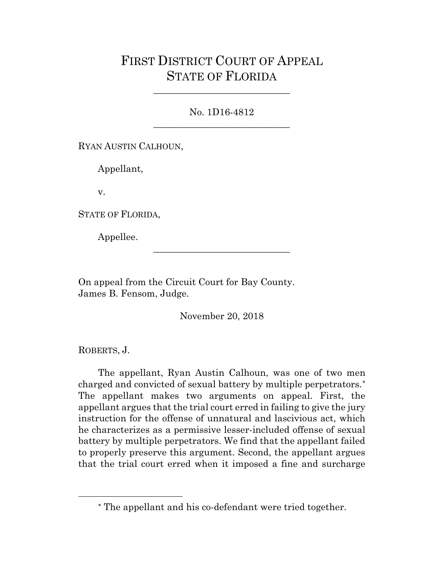## FIRST DISTRICT COURT OF APPEAL STATE OF FLORIDA

## No. 1D16-4812 \_\_\_\_\_\_\_\_\_\_\_\_\_\_\_\_\_\_\_\_\_\_\_\_\_\_\_\_\_

\_\_\_\_\_\_\_\_\_\_\_\_\_\_\_\_\_\_\_\_\_\_\_\_\_\_\_\_\_

RYAN AUSTIN CALHOUN,

Appellant,

v.

STATE OF FLORIDA,

Appellee.

On appeal from the Circuit Court for Bay County. James B. Fensom, Judge.

November 20, 2018

\_\_\_\_\_\_\_\_\_\_\_\_\_\_\_\_\_\_\_\_\_\_\_\_\_\_\_\_\_

ROBERTS, J.

<span id="page-0-0"></span> $\overline{a}$ 

The appellant, Ryan Austin Calhoun, was one of two men charged and convicted of sexual battery by multiple perpetrators.[∗](#page-0-0) The appellant makes two arguments on appeal. First, the appellant argues that the trial court erred in failing to give the jury instruction for the offense of unnatural and lascivious act, which he characterizes as a permissive lesser-included offense of sexual battery by multiple perpetrators. We find that the appellant failed to properly preserve this argument. Second, the appellant argues that the trial court erred when it imposed a fine and surcharge

<sup>∗</sup> The appellant and his co-defendant were tried together.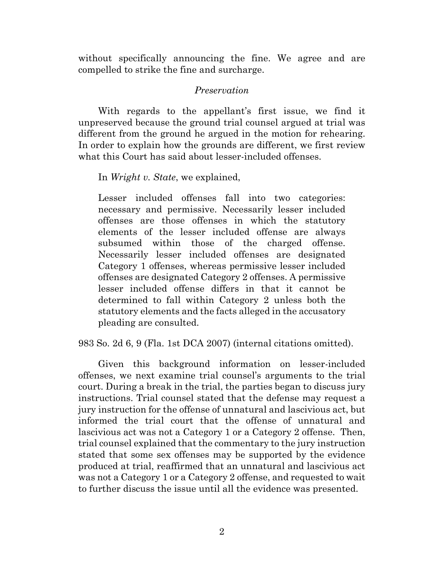without specifically announcing the fine. We agree and are compelled to strike the fine and surcharge.

## *Preservation*

With regards to the appellant's first issue, we find it unpreserved because the ground trial counsel argued at trial was different from the ground he argued in the motion for rehearing. In order to explain how the grounds are different, we first review what this Court has said about lesser-included offenses.

In *Wright v. State*, we explained,

Lesser included offenses fall into two categories: necessary and permissive. Necessarily lesser included offenses are those offenses in which the statutory elements of the lesser included offense are always subsumed within those of the charged offense. Necessarily lesser included offenses are designated Category 1 offenses, whereas permissive lesser included offenses are designated Category 2 offenses. A permissive lesser included offense differs in that it cannot be determined to fall within Category 2 unless both the statutory elements and the facts alleged in the accusatory pleading are consulted.

983 So. 2d 6, 9 (Fla. 1st DCA 2007) (internal citations omitted).

Given this background information on lesser-included offenses, we next examine trial counsel's arguments to the trial court. During a break in the trial, the parties began to discuss jury instructions. Trial counsel stated that the defense may request a jury instruction for the offense of unnatural and lascivious act, but informed the trial court that the offense of unnatural and lascivious act was not a Category 1 or a Category 2 offense. Then, trial counsel explained that the commentary to the jury instruction stated that some sex offenses may be supported by the evidence produced at trial, reaffirmed that an unnatural and lascivious act was not a Category 1 or a Category 2 offense, and requested to wait to further discuss the issue until all the evidence was presented.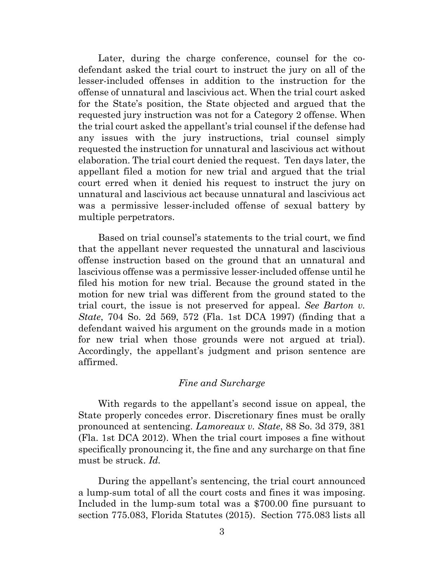Later, during the charge conference, counsel for the codefendant asked the trial court to instruct the jury on all of the lesser-included offenses in addition to the instruction for the offense of unnatural and lascivious act. When the trial court asked for the State's position, the State objected and argued that the requested jury instruction was not for a Category 2 offense. When the trial court asked the appellant's trial counsel if the defense had any issues with the jury instructions, trial counsel simply requested the instruction for unnatural and lascivious act without elaboration. The trial court denied the request. Ten days later, the appellant filed a motion for new trial and argued that the trial court erred when it denied his request to instruct the jury on unnatural and lascivious act because unnatural and lascivious act was a permissive lesser-included offense of sexual battery by multiple perpetrators.

Based on trial counsel's statements to the trial court, we find that the appellant never requested the unnatural and lascivious offense instruction based on the ground that an unnatural and lascivious offense was a permissive lesser-included offense until he filed his motion for new trial. Because the ground stated in the motion for new trial was different from the ground stated to the trial court, the issue is not preserved for appeal. *See Barton v. State*, 704 So. 2d 569, 572 (Fla. 1st DCA 1997) (finding that a defendant waived his argument on the grounds made in a motion for new trial when those grounds were not argued at trial). Accordingly, the appellant's judgment and prison sentence are affirmed.

## *Fine and Surcharge*

With regards to the appellant's second issue on appeal, the State properly concedes error. Discretionary fines must be orally pronounced at sentencing. *Lamoreaux v. State*, 88 So. 3d 379, 381 (Fla. 1st DCA 2012). When the trial court imposes a fine without specifically pronouncing it, the fine and any surcharge on that fine must be struck. *Id.*

During the appellant's sentencing, the trial court announced a lump-sum total of all the court costs and fines it was imposing. Included in the lump-sum total was a \$700.00 fine pursuant to section 775.083, Florida Statutes (2015). Section 775.083 lists all